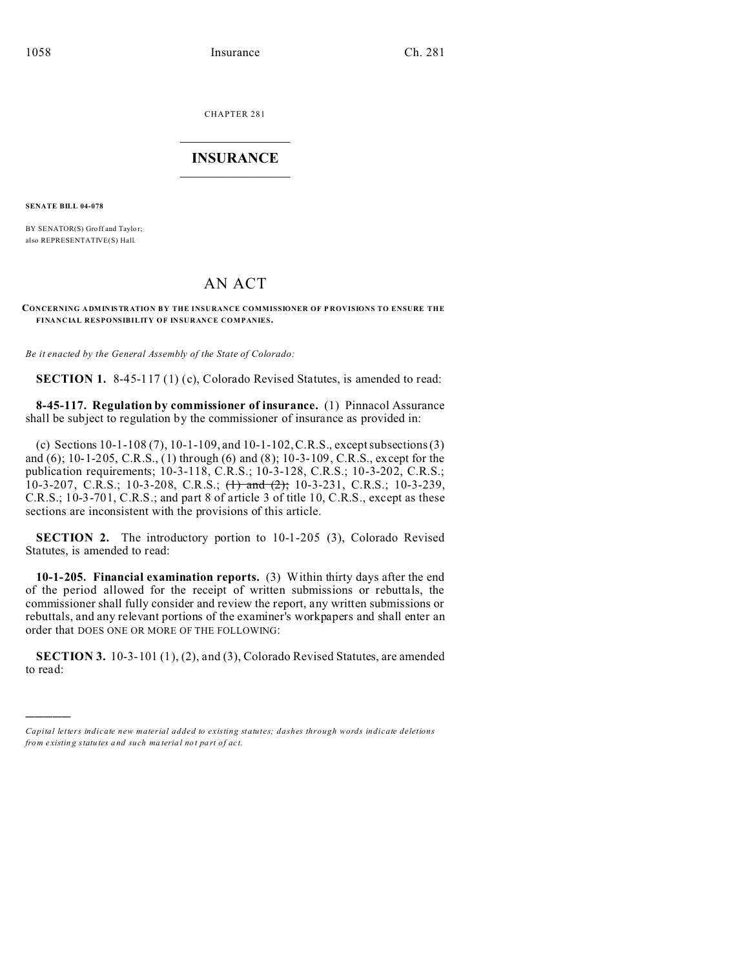CHAPTER 281  $\overline{\phantom{a}}$  , where  $\overline{\phantom{a}}$ 

# **INSURANCE**  $\_$   $\_$   $\_$   $\_$   $\_$   $\_$   $\_$   $\_$

**SENATE BILL 04-078**

)))))

BY SENATOR(S) Groff and Taylor; also REPRESENTATIVE(S) Hall.

# AN ACT

#### **CONCERNING ADM IN IS TR ATIO N BY THE INSURANCE COMMISSIONER OF P ROVISIONS TO ENSURE THE FINANCIAL RESPONSIBILITY OF INSURANCE COMPANIES.**

*Be it enacted by the General Assembly of the State of Colorado:*

**SECTION 1.** 8-45-117 (1) (c), Colorado Revised Statutes, is amended to read:

**8-45-117. Regulation by commissioner of insurance.** (1) Pinnacol Assurance shall be subject to regulation by the commissioner of insurance as provided in:

(c) Sections 10-1-108 (7), 10-1-109, and 10-1-102, C.R.S., except subsections (3) and (6); 10-1-205, C.R.S., (1) through (6) and (8); 10-3-109, C.R.S., except for the publication requirements; 10-3-118, C.R.S.; 10-3-128, C.R.S.; 10-3-202, C.R.S.; 10-3-207, C.R.S.; 10-3-208, C.R.S.;  $\left\{\right\}$  and  $\left\{\right\}$ ; 10-3-231, C.R.S.; 10-3-239, C.R.S.; 10-3-701, C.R.S.; and part 8 of article 3 of title 10, C.R.S., except as these sections are inconsistent with the provisions of this article.

**SECTION 2.** The introductory portion to 10-1-205 (3), Colorado Revised Statutes, is amended to read:

**10-1-205. Financial examination reports.** (3) Within thirty days after the end of the period allowed for the receipt of written submissions or rebuttals, the commissioner shall fully consider and review the report, any written submissions or rebuttals, and any relevant portions of the examiner's workpapers and shall enter an order that DOES ONE OR MORE OF THE FOLLOWING:

**SECTION 3.** 10-3-101 (1), (2), and (3), Colorado Revised Statutes, are amended to read:

*Capital letters indicate new material added to existing statutes; dashes through words indicate deletions from e xistin g statu tes a nd such ma teria l no t pa rt of ac t.*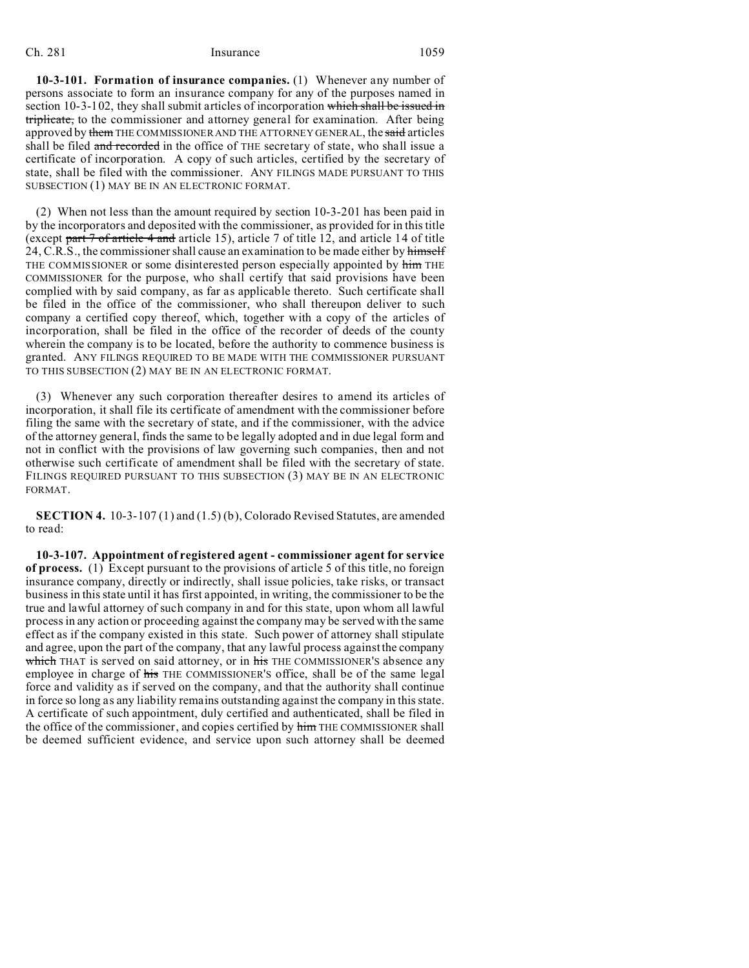## Ch. 281 Insurance 1059

**10-3-101. Formation of insurance companies.** (1) Whenever any number of persons associate to form an insurance company for any of the purposes named in section 10-3-102, they shall submit articles of incorporation which shall be issued in triplicate, to the commissioner and attorney general for examination. After being approved by them THE COMMISSIONER AND THE ATTORNEY GENERAL, the said articles shall be filed and recorded in the office of THE secretary of state, who shall issue a certificate of incorporation. A copy of such articles, certified by the secretary of state, shall be filed with the commissioner. ANY FILINGS MADE PURSUANT TO THIS SUBSECTION (1) MAY BE IN AN ELECTRONIC FORMAT.

(2) When not less than the amount required by section 10-3-201 has been paid in by the incorporators and deposited with the commissioner, as provided for in this title (except part 7 of article 4 and article 15), article 7 of title 12, and article 14 of title 24, C.R.S., the commissioner shall cause an examination to be made either by himself THE COMMISSIONER or some disinterested person especially appointed by him THE COMMISSIONER for the purpose, who shall certify that said provisions have been complied with by said company, as far as applicable thereto. Such certificate shall be filed in the office of the commissioner, who shall thereupon deliver to such company a certified copy thereof, which, together with a copy of the articles of incorporation, shall be filed in the office of the recorder of deeds of the county wherein the company is to be located, before the authority to commence business is granted. ANY FILINGS REQUIRED TO BE MADE WITH THE COMMISSIONER PURSUANT TO THIS SUBSECTION (2) MAY BE IN AN ELECTRONIC FORMAT.

(3) Whenever any such corporation thereafter desires to amend its articles of incorporation, it shall file its certificate of amendment with the commissioner before filing the same with the secretary of state, and if the commissioner, with the advice of the attorney general, finds the same to be legally adopted and in due legal form and not in conflict with the provisions of law governing such companies, then and not otherwise such certificate of amendment shall be filed with the secretary of state. FILINGS REQUIRED PURSUANT TO THIS SUBSECTION (3) MAY BE IN AN ELECTRONIC FORMAT.

**SECTION 4.** 10-3-107 (1) and (1.5) (b), Colorado Revised Statutes, are amended to read:

**10-3-107. Appointment of registered agent - commissioner agent for service of process.** (1) Except pursuant to the provisions of article 5 of this title, no foreign insurance company, directly or indirectly, shall issue policies, take risks, or transact business in this state until it has first appointed, in writing, the commissioner to be the true and lawful attorney of such company in and for this state, upon whom all lawful process in any action or proceeding against the company may be served with the same effect as if the company existed in this state. Such power of attorney shall stipulate and agree, upon the part of the company, that any lawful process against the company which THAT is served on said attorney, or in his THE COMMISSIONER's absence any employee in charge of his THE COMMISSIONER's office, shall be of the same legal force and validity as if served on the company, and that the authority shall continue in force so long as any liability remains outstanding against the company in this state. A certificate of such appointment, duly certified and authenticated, shall be filed in the office of the commissioner, and copies certified by him THE COMMISSIONER shall be deemed sufficient evidence, and service upon such attorney shall be deemed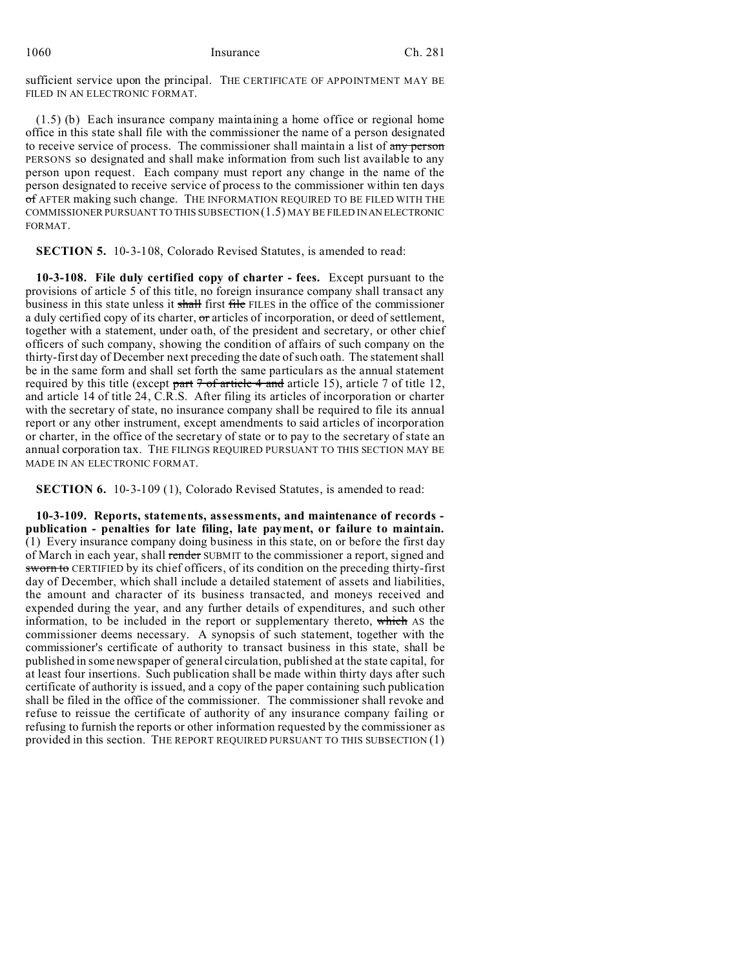1060 Insurance Ch. 281

sufficient service upon the principal. THE CERTIFICATE OF APPOINTMENT MAY BE FILED IN AN ELECTRONIC FORMAT.

(1.5) (b) Each insurance company maintaining a home office or regional home office in this state shall file with the commissioner the name of a person designated to receive service of process. The commissioner shall maintain a list of any person PERSONS so designated and shall make information from such list available to any person upon request. Each company must report any change in the name of the person designated to receive service of process to the commissioner within ten days of AFTER making such change. THE INFORMATION REQUIRED TO BE FILED WITH THE COMMISSIONER PURSUANT TO THIS SUBSECTION (1.5) MAY BE FILED IN AN ELECTRONIC FORMAT.

**SECTION 5.** 10-3-108, Colorado Revised Statutes, is amended to read:

**10-3-108. File duly certified copy of charter - fees.** Except pursuant to the provisions of article 5 of this title, no foreign insurance company shall transact any business in this state unless it shall first file FILES in the office of the commissioner a duly certified copy of its charter, or articles of incorporation, or deed of settlement, together with a statement, under oath, of the president and secretary, or other chief officers of such company, showing the condition of affairs of such company on the thirty-first day of December next preceding the date of such oath. The statement shall be in the same form and shall set forth the same particulars as the annual statement required by this title (except part  $7 \text{ of article } 4$  and article 15), article 7 of title 12, and article 14 of title 24, C.R.S. After filing its articles of incorporation or charter with the secretary of state, no insurance company shall be required to file its annual report or any other instrument, except amendments to said articles of incorporation or charter, in the office of the secretary of state or to pay to the secretary of state an annual corporation tax. THE FILINGS REQUIRED PURSUANT TO THIS SECTION MAY BE MADE IN AN ELECTRONIC FORMAT.

**SECTION 6.** 10-3-109 (1), Colorado Revised Statutes, is amended to read:

**10-3-109. Reports, statements, assessments, and maintenance of records publication - penalties for late filing, late payment, or failure to maintain.** (1) Every insurance company doing business in this state, on or before the first day of March in each year, shall render SUBMIT to the commissioner a report, signed and sworn to CERTIFIED by its chief officers, of its condition on the preceding thirty-first day of December, which shall include a detailed statement of assets and liabilities, the amount and character of its business transacted, and moneys received and expended during the year, and any further details of expenditures, and such other information, to be included in the report or supplementary thereto, which AS the commissioner deems necessary. A synopsis of such statement, together with the commissioner's certificate of authority to transact business in this state, shall be published in some newspaper of general circulation, published at the state capital, for at least four insertions. Such publication shall be made within thirty days after such certificate of authority is issued, and a copy of the paper containing such publication shall be filed in the office of the commissioner. The commissioner shall revoke and refuse to reissue the certificate of authority of any insurance company failing or refusing to furnish the reports or other information requested by the commissioner as provided in this section. THE REPORT REQUIRED PURSUANT TO THIS SUBSECTION (1)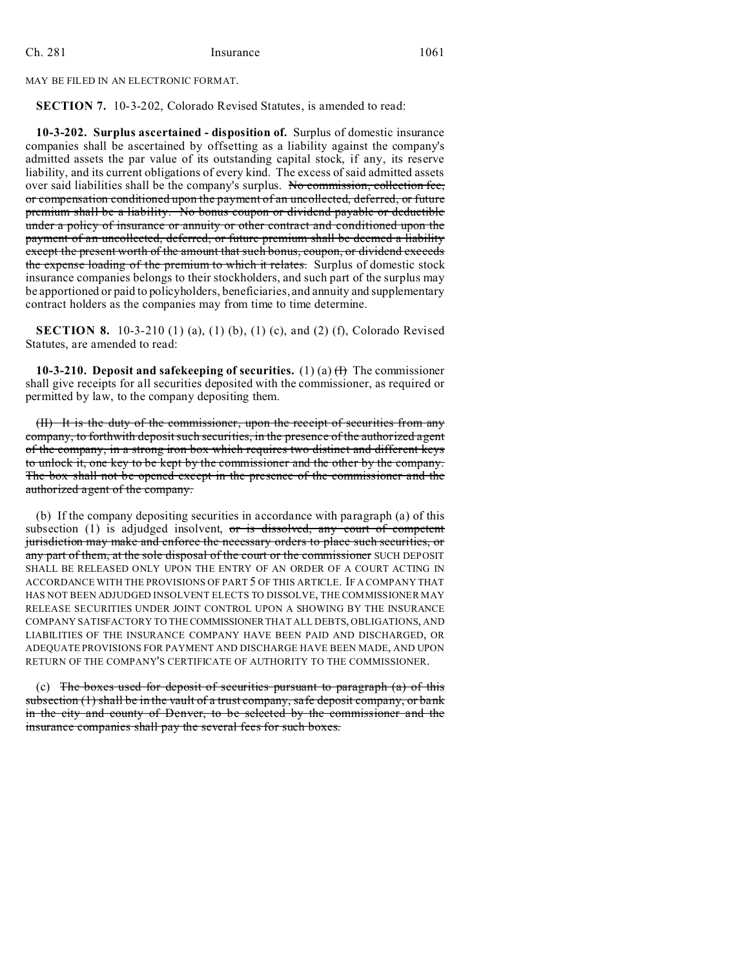MAY BE FILED IN AN ELECTRONIC FORMAT.

**SECTION 7.** 10-3-202, Colorado Revised Statutes, is amended to read:

**10-3-202. Surplus ascertained - disposition of.** Surplus of domestic insurance companies shall be ascertained by offsetting as a liability against the company's admitted assets the par value of its outstanding capital stock, if any, its reserve liability, and its current obligations of every kind. The excess of said admitted assets over said liabilities shall be the company's surplus. No commission, collection fee, or compensation conditioned upon the payment of an uncollected, deferred, or future premium shall be a liability. No bonus coupon or dividend payable or deductible under a policy of insurance or annuity or other contract and conditioned upon the payment of an uncollected, deferred, or future premium shall be deemed a liability except the present worth of the amount that such bonus, coupon, or dividend exceeds the expense loading of the premium to which it relates. Surplus of domestic stock insurance companies belongs to their stockholders, and such part of the surplus may be apportioned or paid to policyholders, beneficiaries, and annuity and supplementary contract holders as the companies may from time to time determine.

**SECTION 8.** 10-3-210 (1) (a), (1) (b), (1) (c), and (2) (f), Colorado Revised Statutes, are amended to read:

**10-3-210. Deposit and safekeeping of securities.** (1) (a)  $\text{H}$ ) The commissioner shall give receipts for all securities deposited with the commissioner, as required or permitted by law, to the company depositing them.

(II) It is the duty of the commissioner, upon the receipt of securities from any company, to forthwith deposit such securities, in the presence of the authorized agent of the company, in a strong iron box which requires two distinct and different keys to unlock it, one key to be kept by the commissioner and the other by the company. The box shall not be opened except in the presence of the commissioner and the authorized agent of the company.

(b) If the company depositing securities in accordance with paragraph (a) of this subsection (1) is adjudged insolvent,  $\sigma r$  is dissolved, any court of competent jurisdiction may make and enforce the necessary orders to place such securities, or any part of them, at the sole disposal of the court or the commissioner SUCH DEPOSIT SHALL BE RELEASED ONLY UPON THE ENTRY OF AN ORDER OF A COURT ACTING IN ACCORDANCE WITH THE PROVISIONS OF PART 5 OF THIS ARTICLE. IF A COMPANY THAT HAS NOT BEEN ADJUDGED INSOLVENT ELECTS TO DISSOLVE, THE COMMISSIONER MAY RELEASE SECURITIES UNDER JOINT CONTROL UPON A SHOWING BY THE INSURANCE COMPANY SATISFACTORY TO THE COMMISSIONERTHAT ALL DEBTS, OBLIGATIONS, AND LIABILITIES OF THE INSURANCE COMPANY HAVE BEEN PAID AND DISCHARGED, OR ADEQUATE PROVISIONS FOR PAYMENT AND DISCHARGE HAVE BEEN MADE, AND UPON RETURN OF THE COMPANY'S CERTIFICATE OF AUTHORITY TO THE COMMISSIONER.

(c) The boxes used for deposit of securities pursuant to paragraph (a) of this subsection (1) shall be in the vault of a trust company, safe deposit company, or bank in the city and county of Denver, to be selected by the commissioner and the insurance companies shall pay the several fees for such boxes.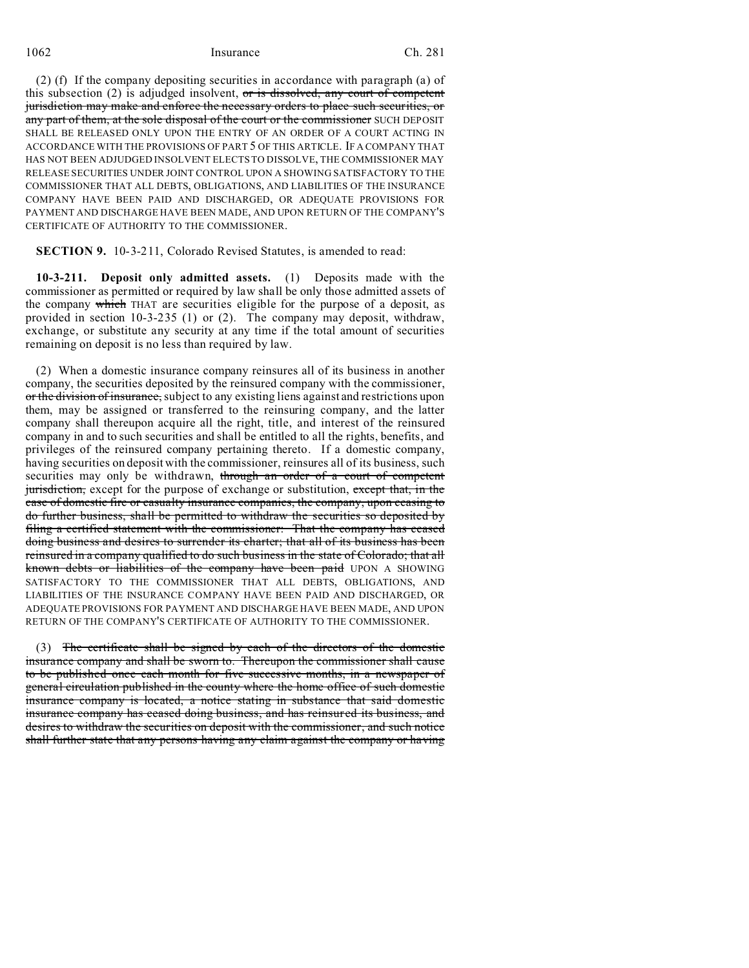1062 Insurance Ch. 281

(2) (f) If the company depositing securities in accordance with paragraph (a) of this subsection  $(2)$  is adjudged insolvent, or is dissolved, any court of competent jurisdiction may make and enforce the necessary orders to place such securities, or any part of them, at the sole disposal of the court or the commissioner SUCH DEPOSIT SHALL BE RELEASED ONLY UPON THE ENTRY OF AN ORDER OF A COURT ACTING IN ACCORDANCE WITH THE PROVISIONS OF PART 5 OF THIS ARTICLE. IF A COMPANY THAT HAS NOT BEEN ADJUDGED INSOLVENT ELECTS TO DISSOLVE, THE COMMISSIONER MAY RELEASE SECURITIES UNDER JOINT CONTROL UPON A SHOWING SATISFACTORY TO THE COMMISSIONER THAT ALL DEBTS, OBLIGATIONS, AND LIABILITIES OF THE INSURANCE COMPANY HAVE BEEN PAID AND DISCHARGED, OR ADEQUATE PROVISIONS FOR PAYMENT AND DISCHARGE HAVE BEEN MADE, AND UPON RETURN OF THE COMPANY'S CERTIFICATE OF AUTHORITY TO THE COMMISSIONER.

**SECTION 9.** 10-3-211, Colorado Revised Statutes, is amended to read:

**10-3-211. Deposit only admitted assets.** (1) Deposits made with the commissioner as permitted or required by law shall be only those admitted assets of the company which THAT are securities eligible for the purpose of a deposit, as provided in section 10-3-235 (1) or (2). The company may deposit, withdraw, exchange, or substitute any security at any time if the total amount of securities remaining on deposit is no less than required by law.

(2) When a domestic insurance company reinsures all of its business in another company, the securities deposited by the reinsured company with the commissioner, or the division of insurance, subject to any existing liens against and restrictions upon them, may be assigned or transferred to the reinsuring company, and the latter company shall thereupon acquire all the right, title, and interest of the reinsured company in and to such securities and shall be entitled to all the rights, benefits, and privileges of the reinsured company pertaining thereto. If a domestic company, having securities on deposit with the commissioner, reinsures all of its business, such securities may only be withdrawn, through an order of a court of competent jurisdiction, except for the purpose of exchange or substitution, except that, in the case of domestic fire or casualty insurance companies, the company, upon ceasing to do further business, shall be permitted to withdraw the securities so deposited by filing a certified statement with the commissioner: That the company has ceased doing business and desires to surrender its charter; that all of its business has been reinsured in a company qualified to do such business in the state of Colorado; that all known debts or liabilities of the company have been paid UPON A SHOWING SATISFACTORY TO THE COMMISSIONER THAT ALL DEBTS, OBLIGATIONS, AND LIABILITIES OF THE INSURANCE COMPANY HAVE BEEN PAID AND DISCHARGED, OR ADEQUATE PROVISIONS FOR PAYMENT AND DISCHARGE HAVE BEEN MADE, AND UPON RETURN OF THE COMPANY'S CERTIFICATE OF AUTHORITY TO THE COMMISSIONER.

(3) The certificate shall be signed by each of the directors of the domestic insurance company and shall be sworn to. Thereupon the commissioner shall cause to be published once each month for five successive months, in a newspaper of general circulation published in the county where the home office of such domestic insurance company is located, a notice stating in substance that said domestic insurance company has ceased doing business, and has reinsured its business, and desires to withdraw the securities on deposit with the commissioner, and such notice shall further state that any persons having any claim against the company or having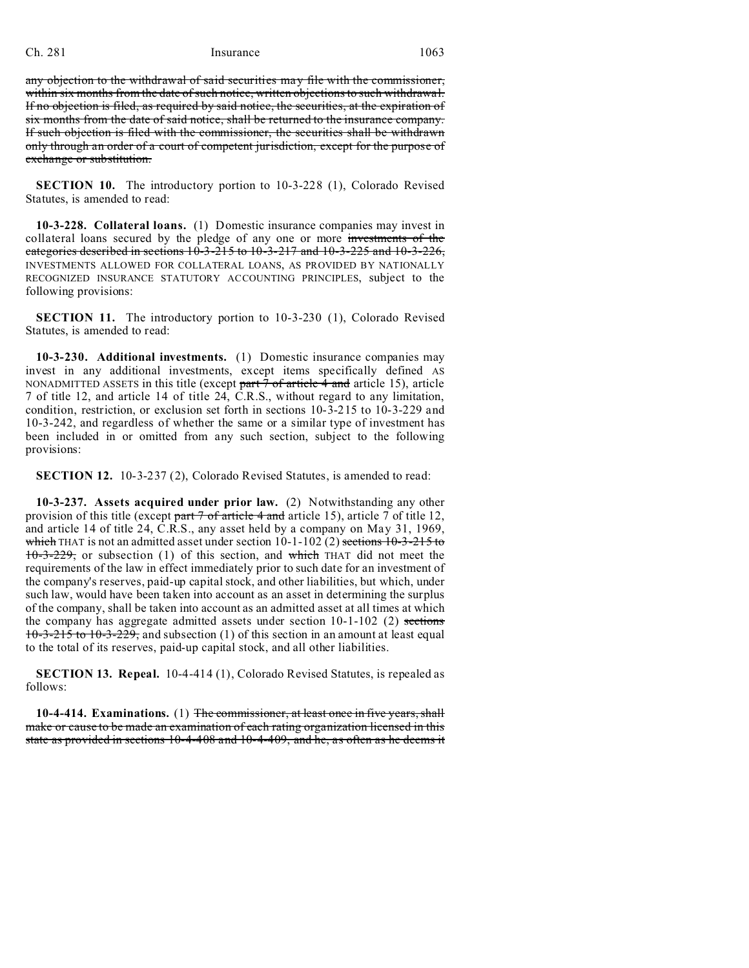## Ch. 281 Insurance 1063

any objection to the withdrawal of said securities may file with the commissioner, within six months from the date of such notice, written objections to such withdrawal. If no objection is filed, as required by said notice, the securities, at the expiration of six months from the date of said notice, shall be returned to the insurance company. If such objection is filed with the commissioner, the securities shall be withdrawn only through an order of a court of competent jurisdiction, except for the purpose of exchange or substitution.

**SECTION 10.** The introductory portion to 10-3-228 (1), Colorado Revised Statutes, is amended to read:

**10-3-228. Collateral loans.** (1) Domestic insurance companies may invest in collateral loans secured by the pledge of any one or more investments of the categories described in sections  $10-3-215$  to  $10-3-217$  and  $10-3-225$  and  $10-3-226$ , INVESTMENTS ALLOWED FOR COLLATERAL LOANS, AS PROVIDED BY NATIONALLY RECOGNIZED INSURANCE STATUTORY ACCOUNTING PRINCIPLES, subject to the following provisions:

**SECTION 11.** The introductory portion to 10-3-230 (1), Colorado Revised Statutes, is amended to read:

**10-3-230. Additional investments.** (1) Domestic insurance companies may invest in any additional investments, except items specifically defined AS NONADMITTED ASSETS in this title (except part  $\frac{7}{7}$  of article  $\frac{4}{7}$  and article 15), article 7 of title 12, and article 14 of title 24, C.R.S., without regard to any limitation, condition, restriction, or exclusion set forth in sections 10-3-215 to 10-3-229 and 10-3-242, and regardless of whether the same or a similar type of investment has been included in or omitted from any such section, subject to the following provisions:

**SECTION 12.** 10-3-237 (2), Colorado Revised Statutes, is amended to read:

**10-3-237. Assets acquired under prior law.** (2) Notwithstanding any other provision of this title (except part  $\frac{7 \text{ of article 4 and article 15}}{2 \text{ and the end of the 12}}$ , and article 14 of title 24, C.R.S., any asset held by a company on May 31, 1969, which THAT is not an admitted asset under section  $10-1-102$  (2) sections  $10-3-215$  to  $10-3-229$ , or subsection (1) of this section, and which THAT did not meet the requirements of the law in effect immediately prior to such date for an investment of the company's reserves, paid-up capital stock, and other liabilities, but which, under such law, would have been taken into account as an asset in determining the surplus of the company, shall be taken into account as an admitted asset at all times at which the company has aggregate admitted assets under section  $10-1-102$  (2) sections 10-3-215 to 10-3-229, and subsection (1) of this section in an amount at least equal to the total of its reserves, paid-up capital stock, and all other liabilities.

**SECTION 13. Repeal.** 10-4-414 (1), Colorado Revised Statutes, is repealed as follows:

**10-4-414. Examinations.** (1) The commissioner, at least once in five years, shall make or cause to be made an examination of each rating organization licensed in this state as provided in sections 10-4-408 and 10-4-409, and he, as often as he deems it